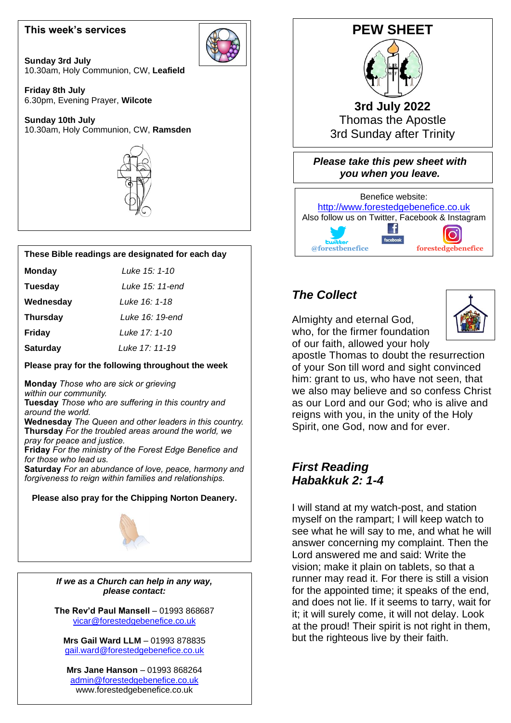#### **This week's services**

**Sunday 3rd July** 10.30am, Holy Communion, CW, **Leafield**

**Friday 8th July** 6.30pm, Evening Prayer, **Wilcote**

**Sunday 10th July** 10.30am, Holy Communion, CW, **Ramsden**



#### **These Bible readings are designated for each day**

| <b>Monday</b>   | Luke 15: 1-10   |
|-----------------|-----------------|
| Tuesday         | Luke 15: 11-end |
| Wednesday       | Luke 16: 1-18   |
| <b>Thursday</b> | Luke 16: 19-end |
| <b>Friday</b>   | Luke 17: 1-10   |
| <b>Saturday</b> | Luke 17: 11-19  |

#### **Please pray for the following throughout the week**

 **Monday** *Those who are sick or grieving within our community.* **Tuesday** *Those who are suffering in this country and around the world.* **Wednesday** *The Queen and other leaders in this country.* **Thursday** *For the troubled areas around the world, we pray for peace and justice.* **Friday** *For the ministry of the Forest Edge Benefice and for those who lead us.* **Saturday** *For an abundance of love, peace, harmony and forgiveness to reign within families and relationships.*

# **Please also pray for the Chipping Norton Deanery.**



*If we as a Church can help in any way, please contact:*

ֺ

**The Rev'd Paul Mansell** – 01993 868687 [vicar@forestedgebenefice.co.uk](mailto:vicar@forestedgebenefice.co.uk)

**Mrs Gail Ward LLM** – 01993 878835 [gail.ward@forestedgebenefice.co.uk](mailto:gail.ward@forestedgebenefice.co.uk)

**Mrs Jane Hanson** – 01993 868264 [admin@forestedgebenefice.co.uk](mailto:admin@forestedgebenefice.co.uk) www.forestedgebenefice.co.uk



**3rd July 2022** Thomas the Apostle 3rd Sunday after Trinity

*Please take this pew sheet with you when you leave.*



### *The Collect*

Almighty and eternal God, who, for the firmer foundation of our faith, allowed your holy



apostle Thomas to doubt the resurrection of your Son till word and sight convinced him: grant to us, who have not seen, that we also may believe and so confess Christ as our Lord and our God; who is alive and reigns with you, in the unity of the Holy Spirit, one God, now and for ever.

### *First Reading Habakkuk 2: 1-4*

I will stand at my watch-post, and station myself on the rampart; I will keep watch to see what he will say to me, and what he will answer concerning my complaint. Then the Lord answered me and said: Write the vision; make it plain on tablets, so that a runner may read it. For there is still a vision for the appointed time; it speaks of the end, and does not lie. If it seems to tarry, wait for it; it will surely come, it will not delay. Look at the proud! Their spirit is not right in them, but the righteous live by their faith.